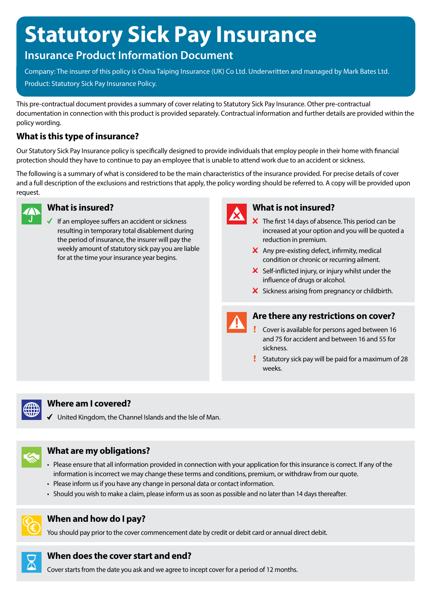# **Statutory Sick Pay Insurance**

# **Insurance Product Information Document**

Company: The insurer of this policy is China Taiping Insurance (UK) Co Ltd. Underwritten and managed by Mark Bates Ltd. Product: Statutory Sick Pay Insurance Policy.

This pre-contractual document provides a summary of cover relating to Statutory Sick Pay Insurance. Other pre-contractual documentation in connection with this product is provided separately. Contractual information and further details are provided within the policy wording.

# **What is this type of insurance?**

Our Statutory Sick Pay Insurance policy is specifically designed to provide individuals that employ people in their home with financial protection should they have to continue to pay an employee that is unable to attend work due to an accident or sickness.

The following is a summary of what is considered to be the main characteristics of the insurance provided. For precise details of cover and a full description of the exclusions and restrictions that apply, the policy wording should be referred to. A copy will be provided upon request.



#### **What is insured?**

If an employee suffers an accident or sickness resulting in temporary total disablement during the period of insurance, the insurer will pay the weekly amount of statutory sick pay you are liable for at the time your insurance year begins.



# **What is not insured?**

- $\overline{\mathsf{x}}$  The first 14 days of absence. This period can be increased at your option and you will be quoted a reduction in premium.
- $\times$  Any pre-existing defect, infirmity, medical condition or chronic or recurring ailment.
- $\boldsymbol{\times}$  Self-inflicted injury, or injury whilst under the influence of drugs or alcohol.
- X Sickness arising from pregnancy or childbirth.



#### **Are there any restrictions on cover?**

- Cover is available for persons aged between 16 and 75 for accident and between 16 and 55 for sickness.
- Statutory sick pay will be paid for a maximum of 28 weeks.



#### **Where am I covered?**

 $\checkmark$  United Kingdom, the Channel Islands and the Isle of Man.



#### **What are my obligations?**

- Please ensure that all information provided in connection with your application for this insurance is correct. If any of the information is incorrect we may change these terms and conditions, premium, or withdraw from our quote.
- Please inform us if you have any change in personal data or contact information.
- Should you wish to make a claim, please inform us as soon as possible and no later than 14 days thereafter.



# **When and how do I pay?**

You should pay prior to the cover commencement date by credit or debit card or annual direct debit.



# **When does the cover start and end?**

Cover starts from the date you ask and we agree to incept cover for a period of 12 months.